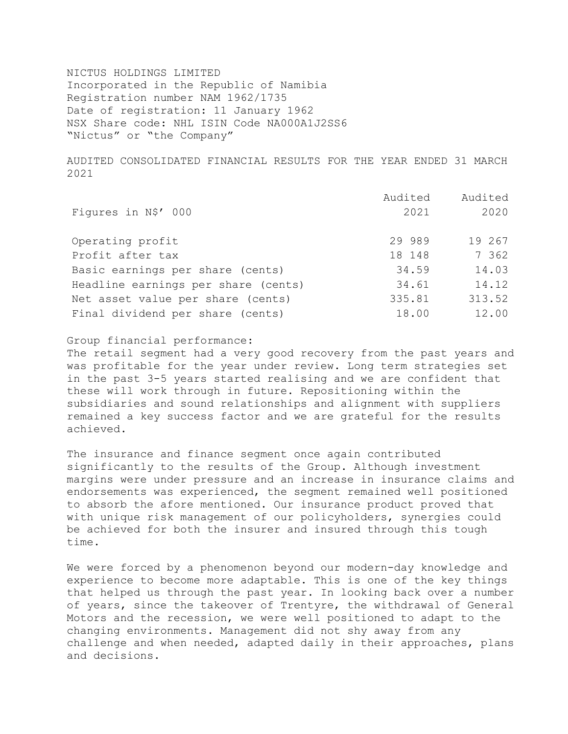NICTUS HOLDINGS LIMITED Incorporated in the Republic of Namibia Registration number NAM 1962/1735 Date of registration: 11 January 1962 NSX Share code: NHL ISIN Code NA000A1J2SS6 "Nictus" or "the Company"

AUDITED CONSOLIDATED FINANCIAL RESULTS FOR THE YEAR ENDED 31 MARCH 2021

|                                     | Audited | Audited |
|-------------------------------------|---------|---------|
| Figures in N\$' 000                 | 2021    | 2020    |
| Operating profit                    | 29 989  | 19 267  |
| Profit after tax                    | 18 148  | 7 362   |
| Basic earnings per share (cents)    | 34.59   | 14.03   |
| Headline earnings per share (cents) | 34.61   | 14.12   |
| Net asset value per share (cents)   | 335.81  | 313.52  |
| Final dividend per share (cents)    | 18.00   | 12.00   |

Group financial performance:

The retail segment had a very good recovery from the past years and was profitable for the year under review. Long term strategies set in the past 3-5 years started realising and we are confident that these will work through in future. Repositioning within the subsidiaries and sound relationships and alignment with suppliers remained a key success factor and we are grateful for the results achieved.

The insurance and finance segment once again contributed significantly to the results of the Group. Although investment margins were under pressure and an increase in insurance claims and endorsements was experienced, the segment remained well positioned to absorb the afore mentioned. Our insurance product proved that with unique risk management of our policyholders, synergies could be achieved for both the insurer and insured through this tough time.

We were forced by a phenomenon beyond our modern-day knowledge and experience to become more adaptable. This is one of the key things that helped us through the past year. In looking back over a number of years, since the takeover of Trentyre, the withdrawal of General Motors and the recession, we were well positioned to adapt to the changing environments. Management did not shy away from any challenge and when needed, adapted daily in their approaches, plans and decisions.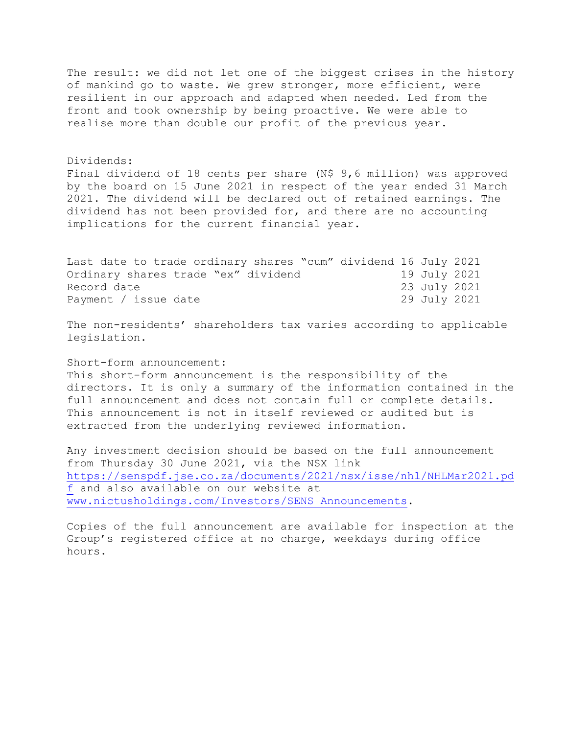The result: we did not let one of the biggest crises in the history of mankind go to waste. We grew stronger, more efficient, were resilient in our approach and adapted when needed. Led from the front and took ownership by being proactive. We were able to realise more than double our profit of the previous year.

Dividends:

Final dividend of 18 cents per share (N\$ 9,6 million) was approved by the board on 15 June 2021 in respect of the year ended 31 March 2021. The dividend will be declared out of retained earnings. The dividend has not been provided for, and there are no accounting implications for the current financial year.

Last date to trade ordinary shares "cum" dividend 16 July 2021 Ordinary shares trade "ex" dividend 19 July 2021 Record date 23 July 2021 Payment / issue date 29 July 2021

The non-residents' shareholders tax varies according to applicable legislation.

Short-form announcement:

This short-form announcement is the responsibility of the directors. It is only a summary of the information contained in the full announcement and does not contain full or complete details. This announcement is not in itself reviewed or audited but is extracted from the underlying reviewed information.

Any investment decision should be based on the full announcement from Thursday 30 June 2021, via the NSX link [https://senspdf.jse.co.za/documents/2021/nsx/isse/nhl/NHLMar2021.pd](https://senspdf.jse.co.za/documents/2021/nsx/isse/nhl/NHLMar2021.pdf) [f](https://senspdf.jse.co.za/documents/2021/nsx/isse/nhl/NHLMar2021.pdf) and also available on our website at [www.nictusholdings.com/Investors/SENS Announcements.](http://www.nictusholdings.com/Investors/SENS%20Announcements)

Copies of the full announcement are available for inspection at the Group's registered office at no charge, weekdays during office hours.